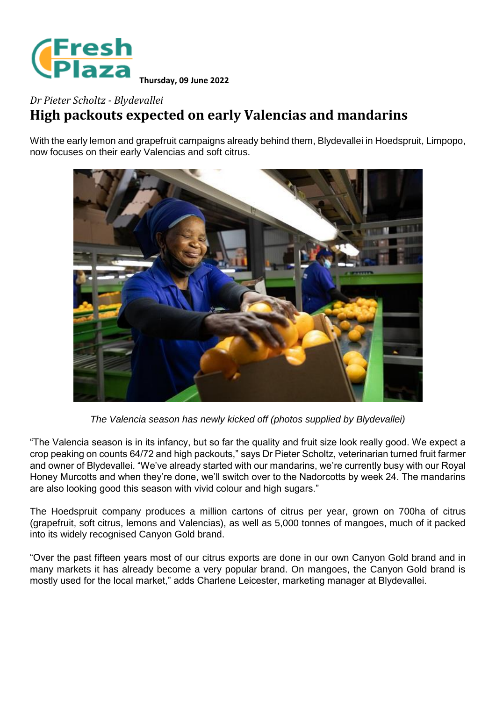

## *Dr Pieter Scholtz - Blydevallei* **High packouts expected on early Valencias and mandarins**

With the early lemon and grapefruit campaigns already behind them, Blydevallei in Hoedspruit, Limpopo, now focuses on their early Valencias and soft citrus.



*The Valencia season has newly kicked off (photos supplied by Blydevallei)*

"The Valencia season is in its infancy, but so far the quality and fruit size look really good. We expect a crop peaking on counts 64/72 and high packouts," says Dr Pieter Scholtz, veterinarian turned fruit farmer and owner of Blydevallei. "We've already started with our mandarins, we're currently busy with our Royal Honey Murcotts and when they're done, we'll switch over to the Nadorcotts by week 24. The mandarins are also looking good this season with vivid colour and high sugars."

The Hoedspruit company produces a million cartons of citrus per year, grown on 700ha of citrus (grapefruit, soft citrus, lemons and Valencias), as well as 5,000 tonnes of mangoes, much of it packed into its widely recognised Canyon Gold brand.

"Over the past fifteen years most of our citrus exports are done in our own Canyon Gold brand and in many markets it has already become a very popular brand. On mangoes, the Canyon Gold brand is mostly used for the local market," adds Charlene Leicester, marketing manager at Blydevallei.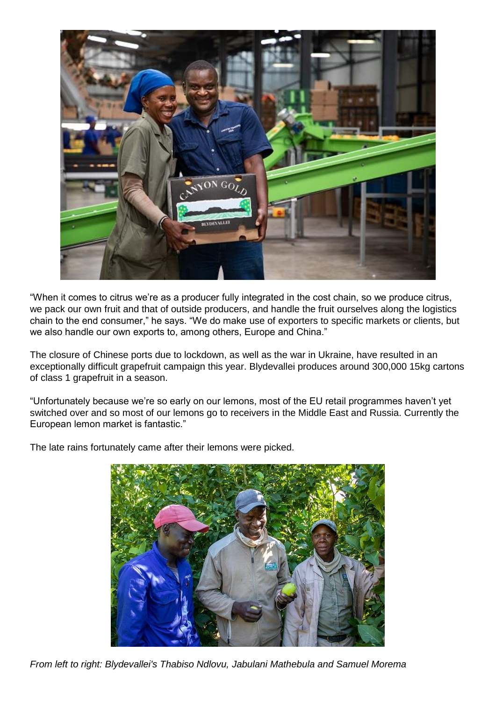

"When it comes to citrus we're as a producer fully integrated in the cost chain, so we produce citrus, we pack our own fruit and that of outside producers, and handle the fruit ourselves along the logistics chain to the end consumer," he says. "We do make use of exporters to specific markets or clients, but we also handle our own exports to, among others, Europe and China."

The closure of Chinese ports due to lockdown, as well as the war in Ukraine, have resulted in an exceptionally difficult grapefruit campaign this year. Blydevallei produces around 300,000 15kg cartons of class 1 grapefruit in a season.

"Unfortunately because we're so early on our lemons, most of the EU retail programmes haven't yet switched over and so most of our lemons go to receivers in the Middle East and Russia. Currently the European lemon market is fantastic."

The late rains fortunately came after their lemons were picked.



*From left to right: Blydevallei's Thabiso Ndlovu, Jabulani Mathebula and Samuel Morema*